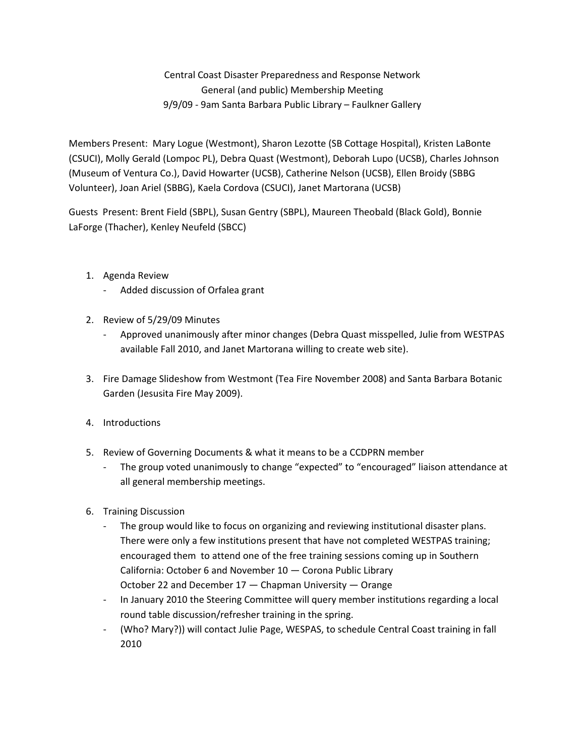Central Coast Disaster Preparedness and Response Network General (and public) Membership Meeting 9/9/09 - 9am Santa Barbara Public Library – Faulkner Gallery

Members Present: Mary Logue (Westmont), Sharon Lezotte (SB Cottage Hospital), Kristen LaBonte (CSUCI), Molly Gerald (Lompoc PL), Debra Quast (Westmont), Deborah Lupo (UCSB), Charles Johnson (Museum of Ventura Co.), David Howarter (UCSB), Catherine Nelson (UCSB), Ellen Broidy (SBBG Volunteer), Joan Ariel (SBBG), Kaela Cordova (CSUCI), Janet Martorana (UCSB)

Guests Present: Brent Field (SBPL), Susan Gentry (SBPL), Maureen Theobald (Black Gold), Bonnie LaForge (Thacher), Kenley Neufeld (SBCC)

- 1. Agenda Review
	- Added discussion of Orfalea grant
- 2. Review of 5/29/09 Minutes
	- Approved unanimously after minor changes (Debra Quast misspelled, Julie from WESTPAS available Fall 2010, and Janet Martorana willing to create web site).
- 3. Fire Damage Slideshow from Westmont (Tea Fire November 2008) and Santa Barbara Botanic Garden (Jesusita Fire May 2009).
- 4. Introductions
- 5. Review of Governing Documents & what it means to be a CCDPRN member
	- The group voted unanimously to change "expected" to "encouraged" liaison attendance at all general membership meetings.
- 6. Training Discussion
	- The group would like to focus on organizing and reviewing institutional disaster plans. There were only a few institutions present that have not completed WESTPAS training; encouraged them to attend one of the free training sessions coming up in Southern California: October 6 and November 10 — Corona Public Library October 22 and December 17 — Chapman University — Orange
	- In January 2010 the Steering Committee will query member institutions regarding a local round table discussion/refresher training in the spring.
	- (Who? Mary?)) will contact Julie Page, WESPAS, to schedule Central Coast training in fall 2010